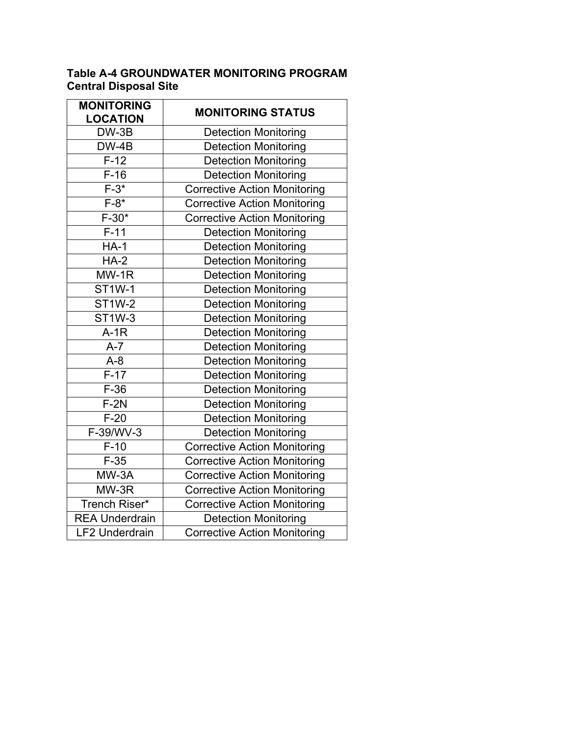## **Table A-4 GROUNDWATER MONITORING PROGRAM Central Disposal Site**

| <b>MONITORING</b><br><b>LOCATION</b> | <b>MONITORING STATUS</b>            |
|--------------------------------------|-------------------------------------|
| DW-3B                                | <b>Detection Monitoring</b>         |
| $DW-4B$                              | <b>Detection Monitoring</b>         |
| $F-12$                               | <b>Detection Monitoring</b>         |
| $F-16$                               | <b>Detection Monitoring</b>         |
| $F-3*$                               | <b>Corrective Action Monitoring</b> |
| $F-8*$                               | <b>Corrective Action Monitoring</b> |
| $F-30*$                              | <b>Corrective Action Monitoring</b> |
| $\overline{F-11}$                    | <b>Detection Monitoring</b>         |
| $HA-1$                               | <b>Detection Monitoring</b>         |
| $HA-2$                               | <b>Detection Monitoring</b>         |
| MW-1R                                | <b>Detection Monitoring</b>         |
| ST1W-1                               | <b>Detection Monitoring</b>         |
| <b>ST1W-2</b>                        | <b>Detection Monitoring</b>         |
| <b>ST1W-3</b>                        | <b>Detection Monitoring</b>         |
| $A-1R$                               | <b>Detection Monitoring</b>         |
| $A-7$                                | <b>Detection Monitoring</b>         |
| $A-8$                                | <b>Detection Monitoring</b>         |
| $F-17$                               | <b>Detection Monitoring</b>         |
| $F-36$                               | <b>Detection Monitoring</b>         |
| $F-2N$                               | <b>Detection Monitoring</b>         |
| $F-20$                               | <b>Detection Monitoring</b>         |
| F-39/WV-3                            | <b>Detection Monitoring</b>         |
| $F-10$                               | <b>Corrective Action Monitoring</b> |
| $F-35$                               | <b>Corrective Action Monitoring</b> |
| $MW-3A$                              | <b>Corrective Action Monitoring</b> |
| MW-3R                                | <b>Corrective Action Monitoring</b> |
| <b>Trench Riser*</b>                 | <b>Corrective Action Monitoring</b> |
| <b>REA Underdrain</b>                | <b>Detection Monitoring</b>         |
| <b>LF2 Underdrain</b>                | <b>Corrective Action Monitoring</b> |